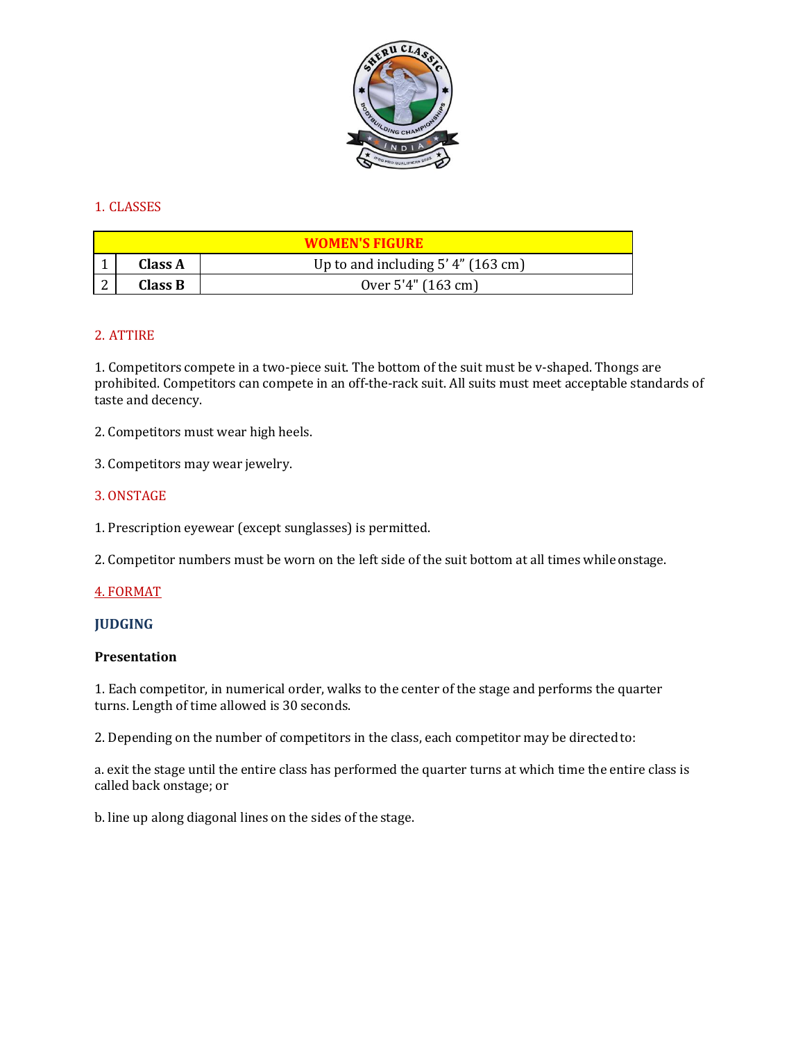

# 1. CLASSES

| <b>WOMEN'S FIGURE</b> |                |                                      |
|-----------------------|----------------|--------------------------------------|
|                       | <b>Class A</b> | Up to and including $5'$ 4" (163 cm) |
|                       | Class B        | Over 5'4" (163 cm)                   |

# 2. ATTIRE

1. Competitors compete in a two-piece suit. The bottom of the suit must be v-shaped. Thongs are prohibited. Competitors can compete in an off-the-rack suit. All suits must meet acceptable standards of taste and decency.

2. Competitors must wear high heels.

3. Competitors may wear jewelry.

### 3. ONSTAGE

1. Prescription eyewear (except sunglasses) is permitted.

2. Competitor numbers must be worn on the left side of the suit bottom at all times while onstage.

#### 4. FORMAT

#### **JUDGING**

#### **Presentation**

1. Each competitor, in numerical order, walks to the center of the stage and performs the quarter turns. Length of time allowed is 30 seconds.

2. Depending on the number of competitors in the class, each competitor may be directedto:

a. exit the stage until the entire class has performed the quarter turns at which time the entire class is called back onstage; or

b. line up along diagonal lines on the sides of the stage.